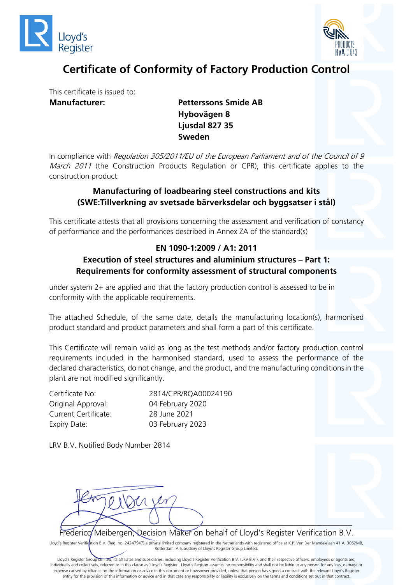



# **Certificate of Conformity of Factory Production Control**

This certificate is issued to: **Manufacturer: Petterssons Smide AB**

**Hybovägen 8 Ljusdal 827 35 Sweden**

In compliance with Regulation 305/2011/EU of the European Parliament and of the Council of 9 March 2011 (the Construction Products Regulation or CPR), this certificate applies to the construction product:

### **Manufacturing of loadbearing steel constructions and kits (SWE:Tillverkning av svetsade bärverksdelar och byggsatser i stål)**

This certificate attests that all provisions concerning the assessment and verification of constancy of performance and the performances described in Annex ZA of the standard(s)

### **EN 1090-1:2009 / A1: 2011**

#### **Execution of steel structures and aluminium structures – Part 1: Requirements for conformity assessment of structural components**

under system 2+ are applied and that the factory production control is assessed to be in conformity with the applicable requirements.

The attached Schedule, of the same date, details the manufacturing location(s), harmonised product standard and product parameters and shall form a part of this certificate.

This Certificate will remain valid as long as the test methods and/or factory production control requirements included in the harmonised standard, used to assess the performance of the declared characteristics, do not change, and the product, and the manufacturing conditionsin the plant are not modified significantly.

Certificate No: 2814/CPR/RQA00024190 Original Approval: 04 February 2020 Current Certificate: 28 June 2021 Expiry Date: 03 February 2023

LRV B.V. Notified Body Number 2814



Frederico Meibergen, Decision Maker on behalf of Lloyd's Register Verification B.V.

Lloyd's Register Verification B.V. (Reg. no. 24247947) a private limited company registered in the Netherlands with registered office at K.P. Van Der Mandelelaan 41 A, 3062MB, Rotterdam. A subsidiary of Lloyd's Register Group Limited.

Lloyd's Register Group Limited, its affiliates and subsidiaries, including Lloyd's Register Verification B.V. (LRV B.V.), and their respective officers, employees or agents are, individually and collectively, referred to in this clause as 'Lloyd's Register'. Lloyd's Register assumes no responsibility and shall not be liable to any person for any loss, damage or expense caused by reliance on the information or advice in this document or howsoever provided, unless that person has signed a contract with the relevant Lloyd's Register entity for the provision of this information or advice and in that case any responsibility or liability is exclusively on the terms and conditions set out in that contract.